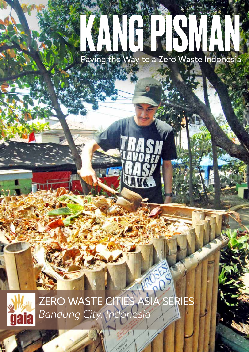# KANG PISMAN Paving the Way to a Zero Waste Indonesia



HRO  $\frac{1505}{805}$ ZERO WASTE CITIES ASIA SERIES *Bandung City, Indonesia*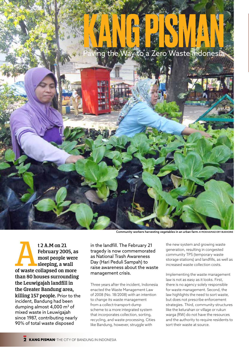

Community workers harvesting vegetables in an urban farm.© MOKHAMAD ERY BUKHORIE

t 2 A.M on 21<br> **February 2005, as<br>
most people were<br>
sleeping, a wall<br>
of waste collapsed on more February 2005, as most people were sleeping, a wall than 80 houses surrounding the Leuwigajah landfill in the Greater Bandung area, killing 157 people.** Prior to the incident, Bandung had been dumping almost 4,000 m3 of mixed waste in Leuwigajah since 1987, contributing nearly 90% of total waste disposed

in the landfill. The February 21 tragedy is now commemorated as National Trash Awareness Day (Hari Peduli Sampah) to raise awareness about the waste management crisis.

Three years after the incident, Indonesia enacted the Waste Management Law of 2008 (No. 18/2008) with an intention to change its waste management from a collect-transport-dump scheme to a more integrated system that incorporates collection, sorting, recycling, and waste processing. Cities like Bandung, however, struggle with

the new system and growing waste generation, resulting in congested community TPS (temporary waste storage stations) and landfills, as well as increased waste collection costs.

Implementing the waste management law is not as easy as it looks. First, there is no agency solely responsible for waste management. Second, the law highlights the need to sort waste, but does not prescribe enforcement strategies. Third, community structures like the kelurahan or village or rukun warga (RW) do not have the resources and the authority to require residents to sort their waste at source.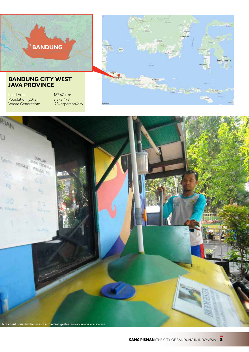

### **BANDUNG CITY WEST JAVA PROVINCE**

Land Area: 167.67 km<sup>2</sup><br>Population (2015): 2,575,478 Population (2015):<br>Population (2015): 2,575,478<br>Waste Generation: 23kg/person/day Waste Generation:



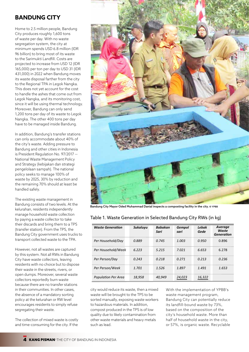### **BANDUNG CITY**

Home to 2.5 million people, Bandung City produces roughly 1,600 tons of waste per day. With no waste segregation system, the city at minimum spends USD 6.8 million (IDR 96 billion) to bring most of its waste to the Sarimukti Landfill. Costs are projected to increase from USD 12 (IDR 165,000) per ton per day to USD 31 (IDR 431,000) in 2022 when Bandung moves its waste disposal farther from the city to the Regional TPA in Legok Nangka. This does not yet account for the cost to handle the ashes that come out from Legok Nangka, and its monitoring cost, since it will be using thermal technology. Moreover, Bandung can only send 1,200 tons per day of its waste to Legok Nangka. The other 400 tons per day have to be managed inside Bandung.

In addition, Bandung's transfer stations can only accommodate about 40% of the city's waste. Adding pressure to Bandung and other cities in Indonesia is President Regulation No. 97/2017 — National Waste Management Policy and Strategy (kebijakan dan strategi pengelolaan sampah). The national policy seeks to manage 100% of waste by 2025, 30% by reduction and the remaining 70% should at least be handled safely.

The existing waste management in Bandung consists of two levels. At the kelurahan, residents independently manage household waste collection by paying a waste collector to take their discards and bring them to a TPS (transfer station). From the TPS, the Bandung City government uses trucks to transport collected waste to the TPA.

However, not all wastes are captured by this system. Not all RWs in Bandung City have waste collectors, leaving residents with no choice but to dispose their waste in the streets, rivers, or open dumps. Moreover, several waste collectors reportedly burn waste because there are no transfer stations in their communities. In other cases, the absence of a mandatory sorting policy at the kelurahan or RW level encourages residents to simply refuse segregating their waste.

The collection of mixed waste is costly and time-consuming for the city. If the



Bandung City Mayor Oded Muhammad Danial inspects a composting facility in the city. © YPBB

| Table 1. Waste Generation in Selected Bandung City RWs (in kg) |  |
|----------------------------------------------------------------|--|
|----------------------------------------------------------------|--|

| <b>Waste Generation</b>    | <b>Sukaluyu</b> | <b>Babakan</b><br>Sari | <b>Gempol</b><br>sari | <b>Lebak</b><br>Gede | <b>Average</b><br>Waste<br><b>Generation</b> |
|----------------------------|-----------------|------------------------|-----------------------|----------------------|----------------------------------------------|
| Per Household/Day          | 0.889           | 0.745                  | 1.003                 | 0.950                | 0.896                                        |
| Per Household/Week         | 6.223           | 5.215                  | 7.021                 | 6.653                | 6.278                                        |
| Per Person/Day             | 0.243           | 0.218                  | 0.271                 | 0.213                | 0.236                                        |
| Per Person/Week            | 1.701           | 1.526                  | 1.897                 | 1.491                | 1.653                                        |
| <b>Population Per Area</b> | 18,958          | 40.949                 | 24,023                | 16,322               |                                              |

city would reduce its waste, then a mixed waste will be brought to the TPS to be sorted manually, exposing waste workers to hazardous materials. In addition, compost produced in the TPS is of low quality due to likely contamination from other waste materials and heavy metals such as lead.

With the implementation of YPBB's waste management program, Bandung City can potentially reduce its landfill-bound waste by 73%, based on the composition of the city's household waste. More than half of household waste in the city, or 57%, is organic waste. Recyclable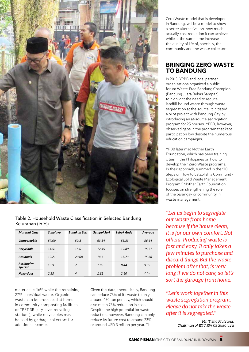

### Table 2. Household Waste Classification in Selected Bandung Kelurahan (in %)

| <b>Material Class</b>          | Sukaluyu | Babakan Sari   | <b>Gempol Sari</b> | Lebak Gede | Average |
|--------------------------------|----------|----------------|--------------------|------------|---------|
| Compostable                    | 57.09    | 50.8           | 63.34              | 55.33      | 56.64   |
| Recyclable                     | 14.51    | 18.0           | 12.45              | 17.89      | 15.71   |
| <b>Residuals</b>               | 12.21    | 20.08          | 14.6               | 15.73      | 15.66   |
| $Residual -$<br><b>Special</b> | 13.9     | $\overline{7}$ | 7.98               | 8.44       | 9.33    |
| <b>Hazardous</b>               | 2.53     | $\overline{4}$ | 1.62               | 2.60       | 2.69    |

materials is 16% while the remaining 27% is residual waste. Organic waste can be processed at home, in community composting facilities or TPST 3R (city-level recycling stations), while recyclables may be sold by garbage collectors for additional income.

Given this data, theoretically, Bandung can reduce 73% of its waste to only around 450 ton per day, which should also mean 73% reduction in cost. Despite the high potential for waste reduction, however, Bandung can only reduce its future cost to around 23%, or around USD 3 million per year. The

Zero Waste model that is developed in Bandung, will be a model to show a better alternative: on how much actually cost reduction it can achieve, while at the same time increase the quality of life of, specially, the community and the waste collectors.

### **BRINGING ZERO WASTE TO BANDUNG**

In 2013, YPBB and local partner organizations organized a public forum Waste-Free Bandung Champion (Bandung Juara Bebas Sampah) to highlight the need to reduce landfill-bound waste through waste segregation at the source. It initiated a pilot project with Bandung City by introducing an at-source segregation program for 25 houses. YPBB, however, observed gaps in the program that kept participation low despite the numerous education campaigns.

YPBB later met Mother Earth Foundation, which has been training cities in the Philippines on how to develop their Zero Waste programs. In their approach, summed in the "10 Steps on How to Establish a Community Ecological Solid Waste Management Program," Mother Earth Foundation focuses on strengthening the role of the barangay or community in waste management.

*"Let us begin to segregate our waste from home because if the house clean, it is for our own comfort. Not others. Producing waste is fast and easy. It only takes a few minutes to purchase and discard things.But the waste problem after that, is very long if we do not care, so let's sort the garbage from home.*

*"Let's work together in this waste segregation program. Please do not mix the waste after it is segregated."*

> *Mr. Tisna Mulyana, Chairman of RT 7 RW 09 Sukaluyu*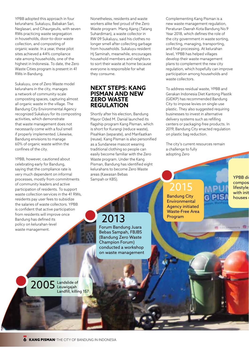YPBB adopted this approach in four kelurahans: Sukaluyu, Babakan Sari, Neglasari, and Cihaurgeulis, with seven RWs practicing waste segregation in households, door-to-door waste collection, and composting of organic waste. In a year, these pilot sites achieved a 44% compliance rate among households, one of the highest in Indonesia. To date, the Zero Waste Cities program is present in 41 RWs in Bandung.

Sukaluyu, one of Zero Waste model kelurahans in the city, manages a network of community-scale composting spaces, capturing almost all organic waste in the village. The Bandung City Environmental Agency recognized Sukaluyu for its composting activities, which demonstrate that waste management does not necessarily come with a foul smell if properly implemented. Likewise, Bandung envisions to manage 60% of organic waste within the confines of the city.

YPBB, however, cautioned about celebrating early for Bandung, saying that the compliance rate is very much dependent on informal processes, mostly from commitments of community leaders and active participation of residents. To support waste collection services in the 41 RWs, residents pay user fees to subsidize the salaries of waste collectors. YPBB is confident that active participation from residents will improve once Bandung has defined its policy on kelurahan-level waste management.

Nonetheless, residents and waste workers alike feel proud of the Zero Waste program. Mang Ajang (Tatang Suhardiman), a waste collector in RW 09 Sukaluyu, said his clothes no longer smell after collecting garbage from households. Sukaluyu resident Hj Saminah, meanwhile, encourages household members and neighbors to sort their waste at home because everyone is responsible for what they consume.

### **NEXT STEPS: KANG PISMAN AND NEW ZERO WASTE REGULATION**

Shortly after his election, Bandung Mayor Oded M. Danial launched its flagship program Kang Pisman, which is short for Kurangi (reduce waste), Pisahkan (separate), and Manfaatkan (reuse). Kang Pisman is also personified as a Sundanese mascot wearing traditional clothing so people can easily become familiar with the Zero Waste program. Under the Kang Pisman, Bandung has identified eight kelurahans to become Zero Waste areas (Kawasan Bebas Sampah or KBS).

Complementing Kang Pisman is a new waste management regulation, Peraturan Daerah Kota Bandung No.9 Year 2018, which defines the role of the city government in waste sorting, collecting, managing, transporting, and final processing. At kelurahan level, YPBB has helped villages develop their waste management plans to complement the new city regulation, which hopefully can improve participation among households and waste collectors.

To address residual waste, YPBB and Gerakan Indonesia Diet Kantong Plastik (GIDKP) has recommended Bandung City to impose levies on single-use plastic. They also suggested requiring businesses to invest in alternative delivery systems such as refilling centers or packaging-free products. In 2019, Bandung City enacted regulation on plastic bag reduction.

The city's current resources remain a challenge to fully adopting Zero

# 2015

Bandung City **Environmental** Agency initiated Waste-Free Area Program

YPBB di compos lifestyle with init houses

## 2013

Forum Bandung Juara Bebas Sampah, FBJBS (Bandung Zero Waste Champion Forum) conducted a workshop on waste management

2005 Landslide of Leuwigajah Landfill, killing 157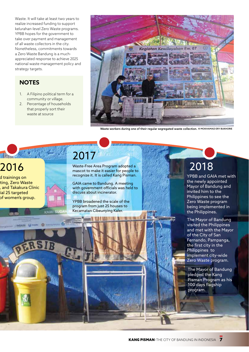Waste. It will take at least two years to realize increased funding to support kelurahan-level Zero Waste programs. YPBB hopes for the government to take over payment and management of all waste collectors in the city. Nonetheless, commitments towards a Zero Waste Bandung is a muchappreciated response to achieve 2025 national waste management policy and strategy targets.

### **NOTES**

- 1. A Filipino political term for a community or village.
- 2. Percentage of households that properly sort their waste at source

**KAMI SU** 



Waste workers during one of their regular segregated waste collection. © MOKHAMAD ERY BUKHORIE

### 2017

2016

d trainings on ting, Zero Waste and Takakura Clinic ial 25 targeted of women's group.

**LINGAHE Q:** 

Waste-Free Area Program adopted a mascot to make it easier for people to recognize it. It is called Kang Pisman.

GAIA came to Bandung. A meeting with government officials was held to discuss about incinerator.

YPBB broadened the scale of the program from just 25 houses to Kecamatan Cibeunying Kaler.

# 2018

YPBB and GAIA met with the newly appointed Mayor of Bandung and invited him to the Philippines to see the Zero Waste program being implemented in the Philippines.

The Mayor of Bandung visited the Philippines and met with the Mayor of the City of San Fernando, Pampanga, the first city in the Philippines to implement city-wide Zero Waste program.

The Mayor of Bandung pledged the Kang Pisman Program as his 100 days flagship program.